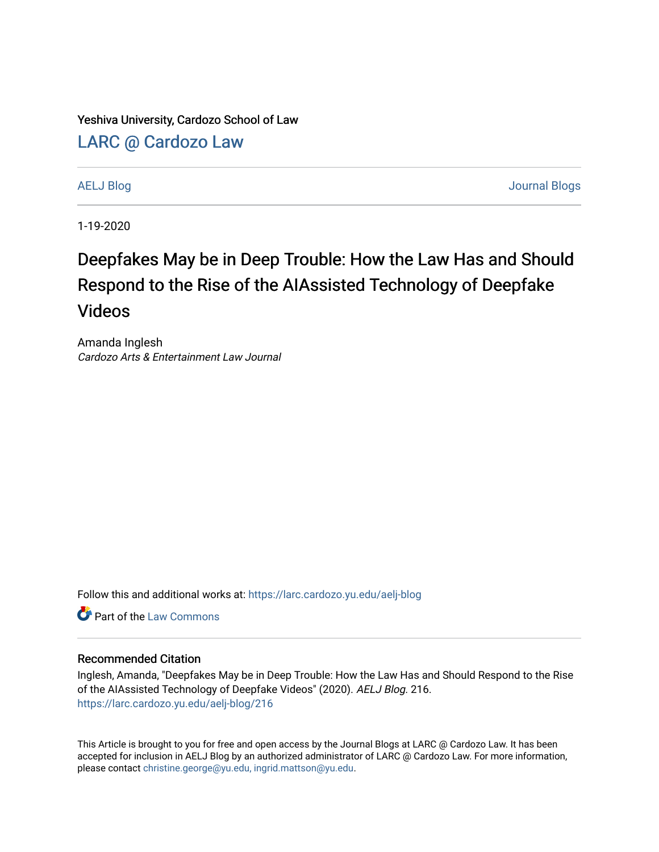Yeshiva University, Cardozo School of Law

[LARC @ Cardozo Law](https://larc.cardozo.yu.edu/)

[AELJ Blog](https://larc.cardozo.yu.edu/aelj-blog) [Journal Blogs](https://larc.cardozo.yu.edu/journal-blogs) 

1-19-2020

## Deepfakes May be in Deep Trouble: How the Law Has and Should Respond to the Rise of the AIAssisted Technology of Deepfake Videos

Amanda Inglesh Cardozo Arts & Entertainment Law Journal

Follow this and additional works at: [https://larc.cardozo.yu.edu/aelj-blog](https://larc.cardozo.yu.edu/aelj-blog?utm_source=larc.cardozo.yu.edu%2Faelj-blog%2F216&utm_medium=PDF&utm_campaign=PDFCoverPages) 

**C** Part of the [Law Commons](http://network.bepress.com/hgg/discipline/578?utm_source=larc.cardozo.yu.edu%2Faelj-blog%2F216&utm_medium=PDF&utm_campaign=PDFCoverPages)

## Recommended Citation

Inglesh, Amanda, "Deepfakes May be in Deep Trouble: How the Law Has and Should Respond to the Rise of the AIAssisted Technology of Deepfake Videos" (2020). AELJ Blog. 216. [https://larc.cardozo.yu.edu/aelj-blog/216](https://larc.cardozo.yu.edu/aelj-blog/216?utm_source=larc.cardozo.yu.edu%2Faelj-blog%2F216&utm_medium=PDF&utm_campaign=PDFCoverPages) 

This Article is brought to you for free and open access by the Journal Blogs at LARC @ Cardozo Law. It has been accepted for inclusion in AELJ Blog by an authorized administrator of LARC @ Cardozo Law. For more information, please contact [christine.george@yu.edu, ingrid.mattson@yu.edu.](mailto:christine.george@yu.edu,%20ingrid.mattson@yu.edu)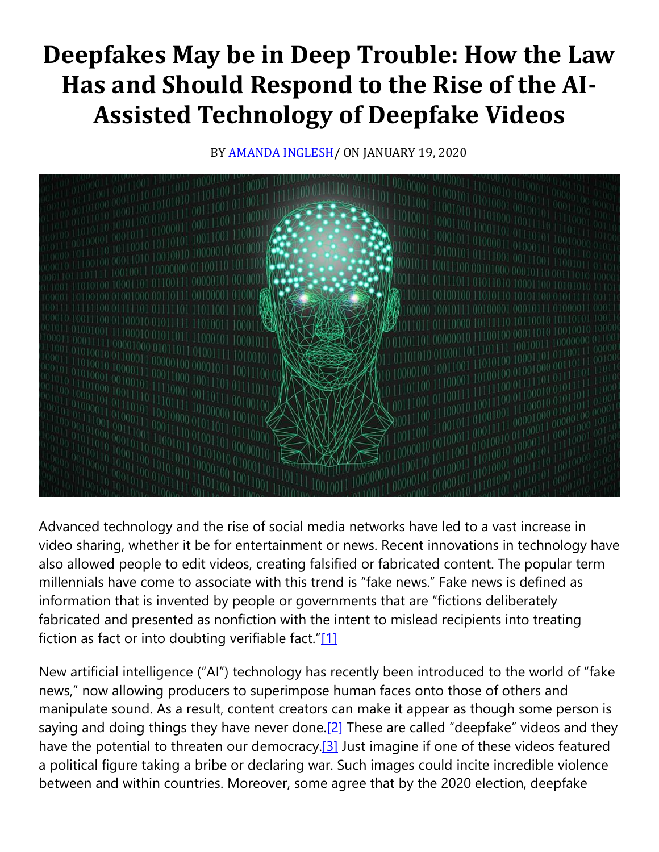## **Deepfakes May be in Deep Trouble: How the Law Has and Should Respond to the Rise of the AI-Assisted Technology of Deepfake Videos**

BY **AMANDA INGLESH**/ ON JANUARY 19, 2020



Advanced technology and the rise of social media networks have led to a vast increase in video sharing, whether it be for entertainment or news. Recent innovations in technology have also allowed people to edit videos, creating falsified or fabricated content. The popular term millennials have come to associate with this trend is "fake news." Fake news is defined as information that is invented by people or governments that are "fictions deliberately fabricated and presented as nonfiction with the intent to mislead recipients into treating fiction as fact or into doubting verifiable fact." $[1]$ 

New artificial intelligence ("AI") technology has recently been introduced to the world of "fake news," now allowing producers to superimpose human faces onto those of others and manipulate sound. As a result, content creators can make it appear as though some person is saying and doing things they have never done.<sup>[2]</sup> These are called "deepfake" videos and they have the potential to threaten our democracy.<sup>[3]</sup> Just imagine if one of these videos featured a political figure taking a bribe or declaring war. Such images could incite incredible violence between and within countries. Moreover, some agree that by the 2020 election, deepfake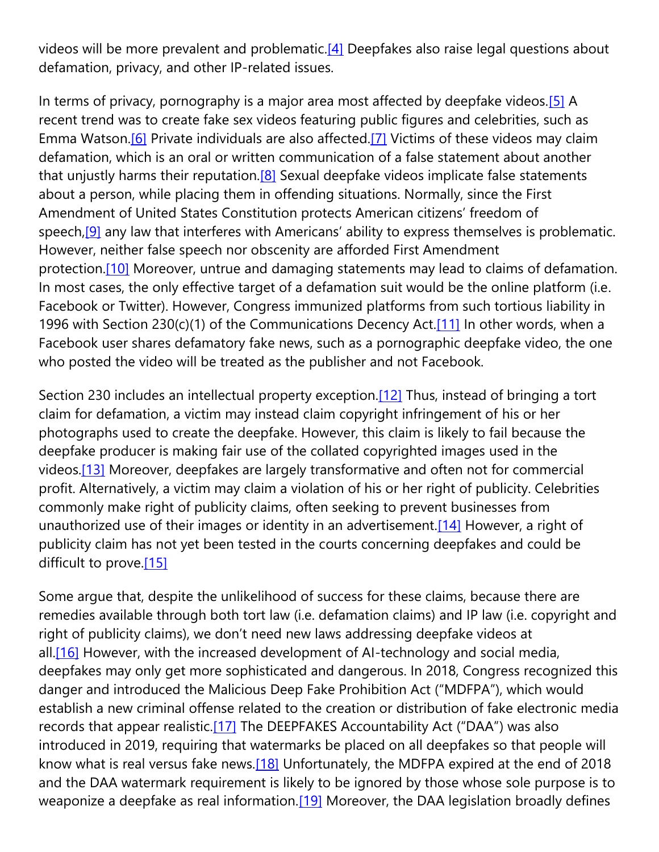videos will be more prevalent and problematic[.\[4\]](https://cardozoaelj.com/2020/01/19/deepfakes-deep-trouble/#_ftn4) Deepfakes also raise legal questions about defamation, privacy, and other IP-related issues.

In terms of privacy, pornography is a major area most affected by deepfake videos.<sup>[5]</sup> A recent trend was to create fake sex videos featuring public figures and celebrities, such as Emma Watson[.\[6\]](https://cardozoaelj.com/2020/01/19/deepfakes-deep-trouble/#_ftn6) Private individuals are also affected[.\[7\]](https://cardozoaelj.com/2020/01/19/deepfakes-deep-trouble/#_ftn7) Victims of these videos may claim defamation, which is an oral or written communication of a false statement about another that unjustly harms their reputation.<sup>[8]</sup> Sexual deepfake videos implicate false statements about a person, while placing them in offending situations. Normally, since the First Amendment of United States Constitution protects American citizens' freedom of speech,<sup>[9]</sup> any law that interferes with Americans' ability to express themselves is problematic. However, neither false speech nor obscenity are afforded First Amendment protection[.\[10\]](https://cardozoaelj.com/2020/01/19/deepfakes-deep-trouble/#_ftn10) Moreover, untrue and damaging statements may lead to claims of defamation. In most cases, the only effective target of a defamation suit would be the online platform (i.e. Facebook or Twitter). However, Congress immunized platforms from such tortious liability in 1996 with Section 230(c)(1) of the Communications Decency Act.<sup>[11]</sup> In other words, when a Facebook user shares defamatory fake news, such as a pornographic deepfake video, the one who posted the video will be treated as the publisher and not Facebook.

Section 230 includes an intellectual property exception.<sup>[12]</sup> Thus, instead of bringing a tort claim for defamation, a victim may instead claim copyright infringement of his or her photographs used to create the deepfake. However, this claim is likely to fail because the deepfake producer is making fair use of the collated copyrighted images used in the videos[.\[13\]](https://cardozoaelj.com/2020/01/19/deepfakes-deep-trouble/#_ftn13) Moreover, deepfakes are largely transformative and often not for commercial profit. Alternatively, a victim may claim a violation of his or her right of publicity. Celebrities commonly make right of publicity claims, often seeking to prevent businesses from unauthorized use of their images or identity in an advertisement[.\[14\]](https://cardozoaelj.com/2020/01/19/deepfakes-deep-trouble/#_ftn14) However, a right of publicity claim has not yet been tested in the courts concerning deepfakes and could be difficult to prove[.\[15\]](https://cardozoaelj.com/2020/01/19/deepfakes-deep-trouble/#_ftn15)

Some argue that, despite the unlikelihood of success for these claims, because there are remedies available through both tort law (i.e. defamation claims) and IP law (i.e. copyright and right of publicity claims), we don't need new laws addressing deepfake videos at all.<sup>[16]</sup> However, with the increased development of AI-technology and social media, deepfakes may only get more sophisticated and dangerous. In 2018, Congress recognized this danger and introduced the Malicious Deep Fake Prohibition Act ("MDFPA"), which would establish a new criminal offense related to the creation or distribution of fake electronic media records that appear realistic.<sup>[17]</sup> The DEEPFAKES Accountability Act ("DAA") was also introduced in 2019, requiring that watermarks be placed on all deepfakes so that people will know what is real versus fake news.<sup>[18]</sup> Unfortunately, the MDFPA expired at the end of 2018 and the DAA watermark requirement is likely to be ignored by those whose sole purpose is to weaponize a deepfake as real information.<sup>[19]</sup> Moreover, the DAA legislation broadly defines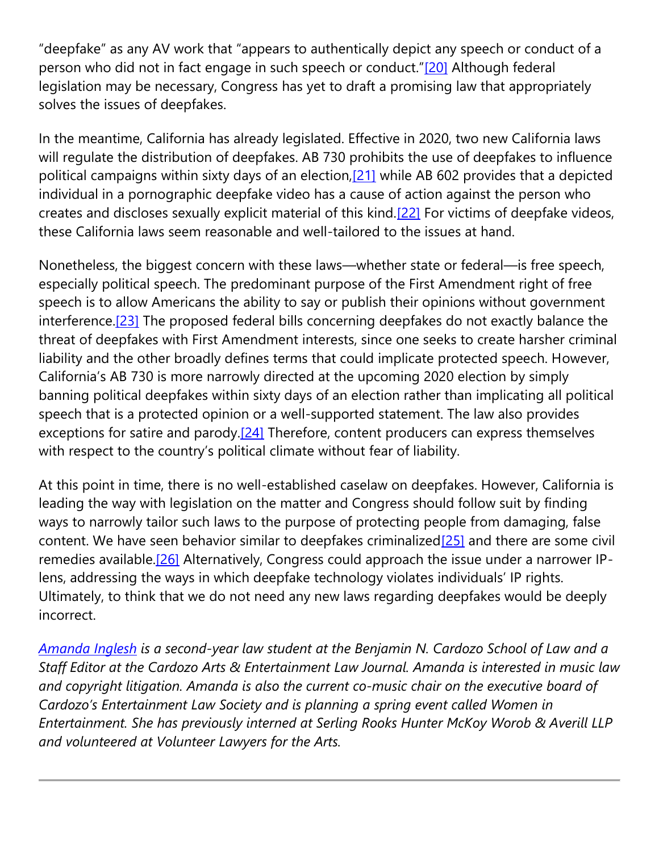"deepfake" as any AV work that "appears to authentically depict any speech or conduct of a person who did not in fact engage in such speech or conduct."[\[20\]](https://cardozoaelj.com/2020/01/19/deepfakes-deep-trouble/#_ftn20) Although federal legislation may be necessary, Congress has yet to draft a promising law that appropriately solves the issues of deepfakes.

In the meantime, California has already legislated. Effective in 2020, two new California laws will regulate the distribution of deepfakes. AB 730 prohibits the use of deepfakes to influence political campaigns within sixty days of an election, [21] while AB 602 provides that a depicted individual in a pornographic deepfake video has a cause of action against the person who creates and discloses sexually explicit material of this kind[.\[22\]](https://cardozoaelj.com/2020/01/19/deepfakes-deep-trouble/#_ftn22) For victims of deepfake videos, these California laws seem reasonable and well-tailored to the issues at hand.

Nonetheless, the biggest concern with these laws—whether state or federal—is free speech, especially political speech. The predominant purpose of the First Amendment right of free speech is to allow Americans the ability to say or publish their opinions without government interference.<sup>[23]</sup> The proposed federal bills concerning deepfakes do not exactly balance the threat of deepfakes with First Amendment interests, since one seeks to create harsher criminal liability and the other broadly defines terms that could implicate protected speech. However, California's AB 730 is more narrowly directed at the upcoming 2020 election by simply banning political deepfakes within sixty days of an election rather than implicating all political speech that is a protected opinion or a well-supported statement. The law also provides exceptions for satire and parody.<sup>[24]</sup> Therefore, content producers can express themselves with respect to the country's political climate without fear of liability.

At this point in time, there is no well-established caselaw on deepfakes. However, California is leading the way with legislation on the matter and Congress should follow suit by finding ways to narrowly tailor such laws to the purpose of protecting people from damaging, false content. We have seen behavior similar to deepfakes criminalized $[25]$  and there are some civil remedies available.<sup>[26]</sup> Alternatively, Congress could approach the issue under a narrower IPlens, addressing the ways in which deepfake technology violates individuals' IP rights. Ultimately, to think that we do not need any new laws regarding deepfakes would be deeply incorrect.

*[Amanda](https://www.linkedin.com/in/amandainglesh/) Inglesh is a second-year law student at the Benjamin N. Cardozo School of Law and a Staff Editor at the Cardozo Arts & Entertainment Law Journal. Amanda is interested in music law and copyright litigation. Amanda is also the current co-music chair on the executive board of Cardozo's Entertainment Law Society and is planning a spring event called Women in Entertainment. She has previously interned at Serling Rooks Hunter McKoy Worob & Averill LLP and volunteered at Volunteer Lawyers for the Arts.*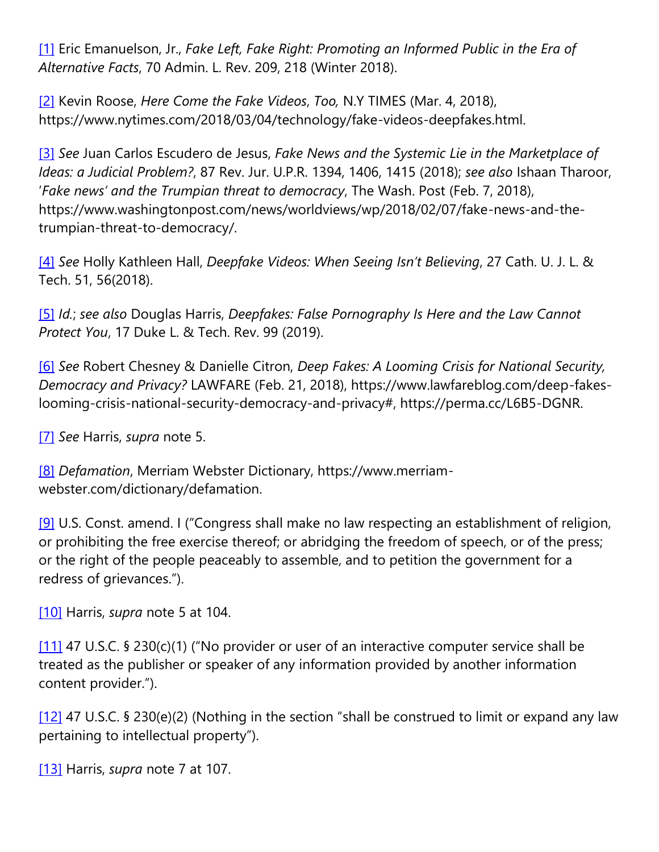[\[1\]](https://cardozoaelj.com/2020/01/19/deepfakes-deep-trouble/#_ftnref1) Eric Emanuelson, Jr., *Fake Left, Fake Right: Promoting an Informed Public in the Era of Alternative Facts*, 70 Admin. L. Rev. 209, 218 (Winter 2018).

[\[2\]](https://cardozoaelj.com/2020/01/19/deepfakes-deep-trouble/#_ftnref2) Kevin Roose, *Here Come the Fake Videos*, *Too,* N.Y TIMES (Mar. 4, 2018), https://www.nytimes.com/2018/03/04/technology/fake-videos-deepfakes.html.

[\[3\]](https://cardozoaelj.com/2020/01/19/deepfakes-deep-trouble/#_ftnref3) *See* Juan Carlos Escudero de Jesus, *Fake News and the Systemic Lie in the Marketplace of Ideas: a Judicial Problem?*, 87 Rev. Jur. U.P.R. 1394, 1406, 1415 (2018); *see also* Ishaan Tharoor, '*Fake news' and the Trumpian threat to democracy*, The Wash. Post (Feb. 7, 2018), https://www.washingtonpost.com/news/worldviews/wp/2018/02/07/fake-news-and-thetrumpian-threat-to-democracy/.

[\[4\]](https://cardozoaelj.com/2020/01/19/deepfakes-deep-trouble/#_ftnref4) *See* Holly Kathleen Hall, *Deepfake Videos: When Seeing Isn't Believing*, 27 Cath. U. J. L. & Tech. 51, 56(2018).

[\[5\]](https://cardozoaelj.com/2020/01/19/deepfakes-deep-trouble/#_ftnref5) *Id.*; *see also* Douglas Harris, *Deepfakes: False Pornography Is Here and the Law Cannot Protect You*, 17 Duke L. & Tech. Rev. 99 (2019).

[\[6\]](https://cardozoaelj.com/2020/01/19/deepfakes-deep-trouble/#_ftnref6) *See* Robert Chesney & Danielle Citron, *Deep Fakes: A Looming Crisis for National Security, Democracy and Privacy?* LAWFARE (Feb. 21, 2018), https://www.lawfareblog.com/deep-fakeslooming-crisis-national-security-democracy-and-privacy#, https://perma.cc/L6B5-DGNR.

[\[7\]](https://cardozoaelj.com/2020/01/19/deepfakes-deep-trouble/#_ftnref7) *See* Harris, *supra* note 5.

[\[8\]](https://cardozoaelj.com/2020/01/19/deepfakes-deep-trouble/#_ftnref8) *Defamation*, Merriam Webster Dictionary, https://www.merriamwebster.com/dictionary/defamation.

[\[9\]](https://cardozoaelj.com/2020/01/19/deepfakes-deep-trouble/#_ftnref9) U.S. Const. amend. I ("Congress shall make no law respecting an establishment of religion, or prohibiting the free exercise thereof; or abridging the freedom of speech, or of the press; or the right of the people peaceably to assemble, and to petition the government for a redress of grievances.").

[\[10\]](https://cardozoaelj.com/2020/01/19/deepfakes-deep-trouble/#_ftnref10) Harris, *supra* note 5 at 104.

[\[11\]](https://cardozoaelj.com/2020/01/19/deepfakes-deep-trouble/#_ftnref11) 47 U.S.C. § 230(c)(1) ("No provider or user of an interactive computer service shall be treated as the publisher or speaker of any information provided by another information content provider.").

[\[12\]](https://cardozoaelj.com/2020/01/19/deepfakes-deep-trouble/#_ftnref12) 47 U.S.C. § 230(e)(2) (Nothing in the section "shall be construed to limit or expand any law pertaining to intellectual property").

[\[13\]](https://cardozoaelj.com/2020/01/19/deepfakes-deep-trouble/#_ftnref13) Harris, *supra* note 7 at 107.